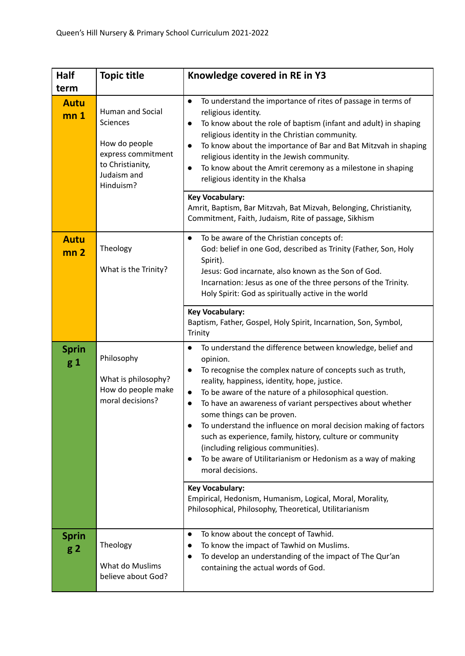| Half                                   | <b>Topic title</b>                                                                                                  | Knowledge covered in RE in Y3                                                                                                                                                                                                                                                                                                                                                                                                                                                                                                                                                                                                  |
|----------------------------------------|---------------------------------------------------------------------------------------------------------------------|--------------------------------------------------------------------------------------------------------------------------------------------------------------------------------------------------------------------------------------------------------------------------------------------------------------------------------------------------------------------------------------------------------------------------------------------------------------------------------------------------------------------------------------------------------------------------------------------------------------------------------|
| term<br><b>Autu</b><br>mn <sub>1</sub> | Human and Social<br>Sciences<br>How do people<br>express commitment<br>to Christianity,<br>Judaism and<br>Hinduism? | To understand the importance of rites of passage in terms of<br>$\bullet$<br>religious identity.<br>To know about the role of baptism (infant and adult) in shaping<br>$\bullet$<br>religious identity in the Christian community.<br>To know about the importance of Bar and Bat Mitzvah in shaping<br>religious identity in the Jewish community.<br>To know about the Amrit ceremony as a milestone in shaping<br>$\bullet$<br>religious identity in the Khalsa                                                                                                                                                             |
|                                        |                                                                                                                     | <b>Key Vocabulary:</b><br>Amrit, Baptism, Bar Mitzvah, Bat Mizvah, Belonging, Christianity,<br>Commitment, Faith, Judaism, Rite of passage, Sikhism                                                                                                                                                                                                                                                                                                                                                                                                                                                                            |
| <b>Autu</b><br>mn <sub>2</sub>         | Theology<br>What is the Trinity?                                                                                    | To be aware of the Christian concepts of:<br>$\bullet$<br>God: belief in one God, described as Trinity (Father, Son, Holy<br>Spirit).<br>Jesus: God incarnate, also known as the Son of God.<br>Incarnation: Jesus as one of the three persons of the Trinity.<br>Holy Spirit: God as spiritually active in the world                                                                                                                                                                                                                                                                                                          |
|                                        |                                                                                                                     | <b>Key Vocabulary:</b><br>Baptism, Father, Gospel, Holy Spirit, Incarnation, Son, Symbol,<br>Trinity                                                                                                                                                                                                                                                                                                                                                                                                                                                                                                                           |
| <b>Sprin</b><br>$g_1$                  | Philosophy<br>What is philosophy?<br>How do people make<br>moral decisions?                                         | To understand the difference between knowledge, belief and<br>$\bullet$<br>opinion.<br>To recognise the complex nature of concepts such as truth,<br>reality, happiness, identity, hope, justice.<br>To be aware of the nature of a philosophical question.<br>$\bullet$<br>To have an awareness of variant perspectives about whether<br>some things can be proven.<br>To understand the influence on moral decision making of factors<br>such as experience, family, history, culture or community<br>(including religious communities).<br>To be aware of Utilitarianism or Hedonism as a way of making<br>moral decisions. |
|                                        |                                                                                                                     | <b>Key Vocabulary:</b><br>Empirical, Hedonism, Humanism, Logical, Moral, Morality,<br>Philosophical, Philosophy, Theoretical, Utilitarianism                                                                                                                                                                                                                                                                                                                                                                                                                                                                                   |
| <b>Sprin</b><br>g <sub>2</sub>         | Theology<br>What do Muslims<br>believe about God?                                                                   | To know about the concept of Tawhid.<br>$\bullet$<br>To know the impact of Tawhid on Muslims.<br>To develop an understanding of the impact of The Qur'an<br>containing the actual words of God.                                                                                                                                                                                                                                                                                                                                                                                                                                |